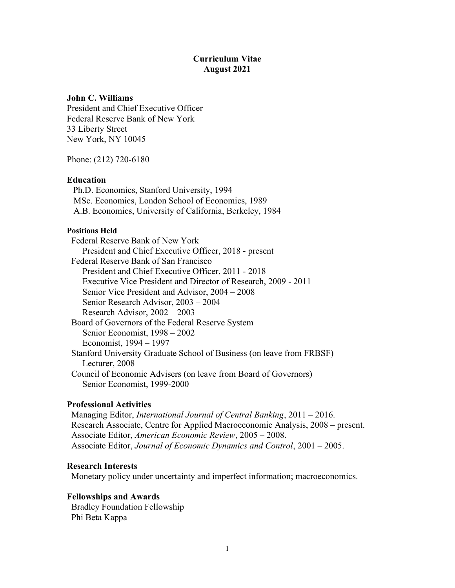## Curriculum Vitae August 2021

### John C. Williams

President and Chief Executive Officer Federal Reserve Bank of New York 33 Liberty Street New York, NY 10045

Phone: (212) 720-6180

### Education

Ph.D. Economics, Stanford University, 1994 MSc. Economics, London School of Economics, 1989 A.B. Economics, University of California, Berkeley, 1984

#### Positions Held

 Federal Reserve Bank of New York President and Chief Executive Officer, 2018 - present Federal Reserve Bank of San Francisco President and Chief Executive Officer, 2011 - 2018 Executive Vice President and Director of Research, 2009 - 2011 Senior Vice President and Advisor, 2004 – 2008 Senior Research Advisor, 2003 – 2004 Research Advisor, 2002 – 2003 Board of Governors of the Federal Reserve System Senior Economist, 1998 – 2002 Economist, 1994 – 1997 Stanford University Graduate School of Business (on leave from FRBSF) Lecturer, 2008 Council of Economic Advisers (on leave from Board of Governors) Senior Economist, 1999-2000

### Professional Activities

 Managing Editor, International Journal of Central Banking, 2011 – 2016. Research Associate, Centre for Applied Macroeconomic Analysis, 2008 – present. Associate Editor, American Economic Review, 2005 – 2008. Associate Editor, Journal of Economic Dynamics and Control, 2001 – 2005.

#### Research Interests

Monetary policy under uncertainty and imperfect information; macroeconomics.

#### Fellowships and Awards

 Bradley Foundation Fellowship Phi Beta Kappa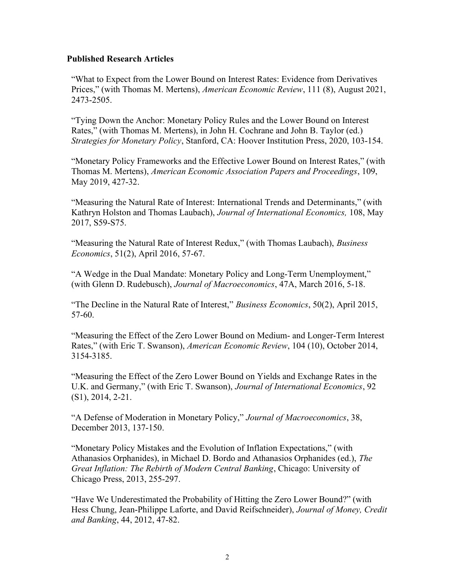## Published Research Articles

"What to Expect from the Lower Bound on Interest Rates: Evidence from Derivatives Prices," (with Thomas M. Mertens), American Economic Review, 111 (8), August 2021, 2473-2505.

"Tying Down the Anchor: Monetary Policy Rules and the Lower Bound on Interest Rates," (with Thomas M. Mertens), in John H. Cochrane and John B. Taylor (ed.) Strategies for Monetary Policy, Stanford, CA: Hoover Institution Press, 2020, 103-154.

"Monetary Policy Frameworks and the Effective Lower Bound on Interest Rates," (with Thomas M. Mertens), American Economic Association Papers and Proceedings, 109, May 2019, 427-32.

"Measuring the Natural Rate of Interest: International Trends and Determinants," (with Kathryn Holston and Thomas Laubach), Journal of International Economics, 108, May 2017, S59-S75.

"Measuring the Natural Rate of Interest Redux," (with Thomas Laubach), Business Economics, 51(2), April 2016, 57-67.

"A Wedge in the Dual Mandate: Monetary Policy and Long-Term Unemployment," (with Glenn D. Rudebusch), Journal of Macroeconomics, 47A, March 2016, 5-18.

"The Decline in the Natural Rate of Interest," Business Economics, 50(2), April 2015, 57-60.

"Measuring the Effect of the Zero Lower Bound on Medium- and Longer-Term Interest Rates," (with Eric T. Swanson), American Economic Review, 104 (10), October 2014, 3154-3185.

"Measuring the Effect of the Zero Lower Bound on Yields and Exchange Rates in the U.K. and Germany," (with Eric T. Swanson), Journal of International Economics, 92 (S1), 2014, 2-21.

"A Defense of Moderation in Monetary Policy," Journal of Macroeconomics, 38, December 2013, 137-150.

"Monetary Policy Mistakes and the Evolution of Inflation Expectations," (with Athanasios Orphanides), in Michael D. Bordo and Athanasios Orphanides (ed.), The Great Inflation: The Rebirth of Modern Central Banking, Chicago: University of Chicago Press, 2013, 255-297.

"Have We Underestimated the Probability of Hitting the Zero Lower Bound?" (with Hess Chung, Jean-Philippe Laforte, and David Reifschneider), Journal of Money, Credit and Banking, 44, 2012, 47-82.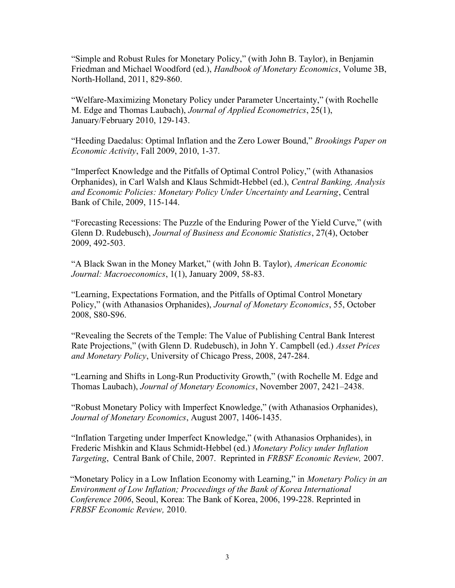"Simple and Robust Rules for Monetary Policy," (with John B. Taylor), in Benjamin Friedman and Michael Woodford (ed.), Handbook of Monetary Economics, Volume 3B, North-Holland, 2011, 829-860.

"Welfare-Maximizing Monetary Policy under Parameter Uncertainty," (with Rochelle M. Edge and Thomas Laubach), Journal of Applied Econometrics, 25(1), January/February 2010, 129-143.

"Heeding Daedalus: Optimal Inflation and the Zero Lower Bound," Brookings Paper on Economic Activity, Fall 2009, 2010, 1-37.

"Imperfect Knowledge and the Pitfalls of Optimal Control Policy," (with Athanasios Orphanides), in Carl Walsh and Klaus Schmidt-Hebbel (ed.), Central Banking, Analysis and Economic Policies: Monetary Policy Under Uncertainty and Learning, Central Bank of Chile, 2009, 115-144.

"Forecasting Recessions: The Puzzle of the Enduring Power of the Yield Curve," (with Glenn D. Rudebusch), Journal of Business and Economic Statistics, 27(4), October 2009, 492-503.

"A Black Swan in the Money Market," (with John B. Taylor), American Economic Journal: Macroeconomics, 1(1), January 2009, 58-83.

"Learning, Expectations Formation, and the Pitfalls of Optimal Control Monetary Policy," (with Athanasios Orphanides), Journal of Monetary Economics, 55, October 2008, S80-S96.

"Revealing the Secrets of the Temple: The Value of Publishing Central Bank Interest Rate Projections," (with Glenn D. Rudebusch), in John Y. Campbell (ed.) *Asset Prices* and Monetary Policy, University of Chicago Press, 2008, 247-284.

"Learning and Shifts in Long-Run Productivity Growth," (with Rochelle M. Edge and Thomas Laubach), Journal of Monetary Economics, November 2007, 2421–2438.

"Robust Monetary Policy with Imperfect Knowledge," (with Athanasios Orphanides), Journal of Monetary Economics, August 2007, 1406-1435.

"Inflation Targeting under Imperfect Knowledge," (with Athanasios Orphanides), in Frederic Mishkin and Klaus Schmidt-Hebbel (ed.) Monetary Policy under Inflation Targeting, Central Bank of Chile, 2007. Reprinted in FRBSF Economic Review, 2007.

"Monetary Policy in a Low Inflation Economy with Learning," in Monetary Policy in an Environment of Low Inflation; Proceedings of the Bank of Korea International Conference 2006, Seoul, Korea: The Bank of Korea, 2006, 199-228. Reprinted in FRBSF Economic Review, 2010.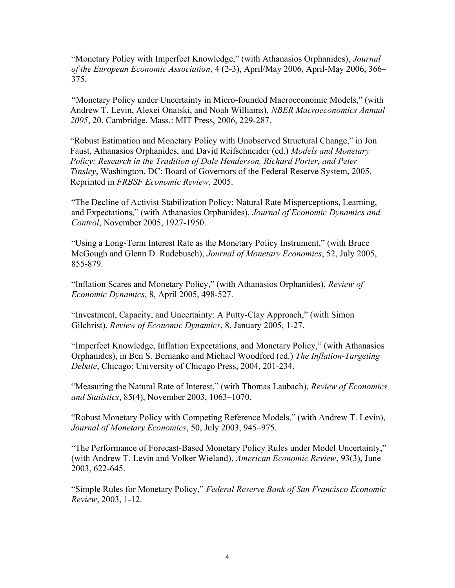"Monetary Policy with Imperfect Knowledge," (with Athanasios Orphanides), Journal of the European Economic Association, 4 (2-3), April/May 2006, April-May 2006, 366– 375.

"Monetary Policy under Uncertainty in Micro-founded Macroeconomic Models," (with Andrew T. Levin, Alexei Onatski, and Noah Williams), NBER Macroeconomics Annual 2005, 20, Cambridge, Mass.: MIT Press, 2006, 229-287.

"Robust Estimation and Monetary Policy with Unobserved Structural Change," in Jon Faust, Athanasios Orphanides, and David Reifschneider (ed.) Models and Monetary Policy: Research in the Tradition of Dale Henderson, Richard Porter, and Peter Tinsley, Washington, DC: Board of Governors of the Federal Reserve System, 2005. Reprinted in FRBSF Economic Review, 2005.

"The Decline of Activist Stabilization Policy: Natural Rate Misperceptions, Learning, and Expectations," (with Athanasios Orphanides), Journal of Economic Dynamics and Control, November 2005, 1927-1950.

"Using a Long-Term Interest Rate as the Monetary Policy Instrument," (with Bruce McGough and Glenn D. Rudebusch), Journal of Monetary Economics, 52, July 2005, 855-879.

"Inflation Scares and Monetary Policy," (with Athanasios Orphanides), Review of Economic Dynamics, 8, April 2005, 498-527.

"Investment, Capacity, and Uncertainty: A Putty-Clay Approach," (with Simon Gilchrist), Review of Economic Dynamics, 8, January 2005, 1-27.

"Imperfect Knowledge, Inflation Expectations, and Monetary Policy," (with Athanasios Orphanides), in Ben S. Bernanke and Michael Woodford (ed.) The Inflation-Targeting Debate, Chicago: University of Chicago Press, 2004, 201-234.

"Measuring the Natural Rate of Interest," (with Thomas Laubach), Review of Economics and Statistics, 85(4), November 2003, 1063–1070.

"Robust Monetary Policy with Competing Reference Models," (with Andrew T. Levin), Journal of Monetary Economics, 50, July 2003, 945–975.

"The Performance of Forecast-Based Monetary Policy Rules under Model Uncertainty," (with Andrew T. Levin and Volker Wieland), American Economic Review, 93(3), June 2003, 622-645.

"Simple Rules for Monetary Policy," Federal Reserve Bank of San Francisco Economic Review, 2003, 1-12.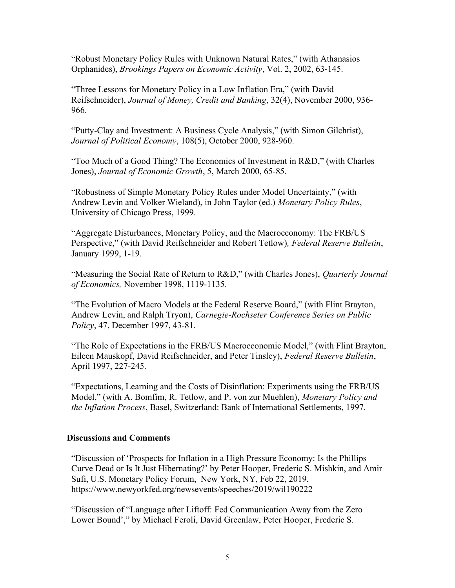"Robust Monetary Policy Rules with Unknown Natural Rates," (with Athanasios Orphanides), Brookings Papers on Economic Activity, Vol. 2, 2002, 63-145.

"Three Lessons for Monetary Policy in a Low Inflation Era," (with David Reifschneider), Journal of Money, Credit and Banking, 32(4), November 2000, 936- 966.

"Putty-Clay and Investment: A Business Cycle Analysis," (with Simon Gilchrist), Journal of Political Economy, 108(5), October 2000, 928-960.

"Too Much of a Good Thing? The Economics of Investment in R&D," (with Charles Jones), Journal of Economic Growth, 5, March 2000, 65-85.

"Robustness of Simple Monetary Policy Rules under Model Uncertainty," (with Andrew Levin and Volker Wieland), in John Taylor (ed.) Monetary Policy Rules, University of Chicago Press, 1999.

"Aggregate Disturbances, Monetary Policy, and the Macroeconomy: The FRB/US Perspective," (with David Reifschneider and Robert Tetlow), Federal Reserve Bulletin, January 1999, 1-19.

"Measuring the Social Rate of Return to R&D," (with Charles Jones), *Ouarterly Journal* of Economics, November 1998, 1119-1135.

"The Evolution of Macro Models at the Federal Reserve Board," (with Flint Brayton, Andrew Levin, and Ralph Tryon), Carnegie-Rochseter Conference Series on Public Policy, 47, December 1997, 43-81.

"The Role of Expectations in the FRB/US Macroeconomic Model," (with Flint Brayton, Eileen Mauskopf, David Reifschneider, and Peter Tinsley), Federal Reserve Bulletin, April 1997, 227-245.

"Expectations, Learning and the Costs of Disinflation: Experiments using the FRB/US Model," (with A. Bomfim, R. Tetlow, and P. von zur Muehlen), Monetary Policy and the Inflation Process, Basel, Switzerland: Bank of International Settlements, 1997.

# Discussions and Comments

"Discussion of 'Prospects for Inflation in a High Pressure Economy: Is the Phillips Curve Dead or Is It Just Hibernating?' by Peter Hooper, Frederic S. Mishkin, and Amir Sufi, U.S. Monetary Policy Forum, New York, NY, Feb 22, 2019. https://www.newyorkfed.org/newsevents/speeches/2019/wil190222

"Discussion of "Language after Liftoff: Fed Communication Away from the Zero Lower Bound'," by Michael Feroli, David Greenlaw, Peter Hooper, Frederic S.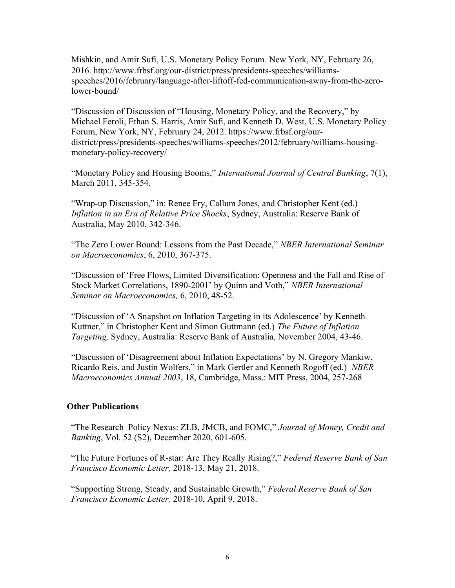Mishkin, and Amir Sufi, U.S. Monetary Policy Forum, New York, NY, February 26, 2016. http://www.frbsf.org/our-district/press/presidents-speeches/williamsspeeches/2016/february/language-after-liftoff-fed-communication-away-from-the-zerolower-bound/

"Discussion of Discussion of "Housing, Monetary Policy, and the Recovery," by Michael Feroli, Ethan S. Harris, Amir Sufi, and Kenneth D. West, U.S. Monetary Policy Forum, New York, NY, February 24, 2012. https://www.frbsf.org/ourdistrict/press/presidents-speeches/williams-speeches/2012/february/williams-housingmonetary-policy-recovery/

"Monetary Policy and Housing Booms," International Journal of Central Banking, 7(1), March 2011, 345-354.

"Wrap-up Discussion," in: Renee Fry, Callum Jones, and Christopher Kent (ed.) Inflation in an Era of Relative Price Shocks, Sydney, Australia: Reserve Bank of Australia, May 2010, 342-346.

"The Zero Lower Bound: Lessons from the Past Decade," NBER International Seminar on Macroeconomics, 6, 2010, 367-375.

"Discussion of 'Free Flows, Limited Diversification: Openness and the Fall and Rise of Stock Market Correlations, 1890-2001' by Quinn and Voth," NBER International Seminar on Macroeconomics, 6, 2010, 48-52.

"Discussion of 'A Snapshot on Inflation Targeting in its Adolescence' by Kenneth Kuttner," in Christopher Kent and Simon Guttmann (ed.) The Future of Inflation Targeting, Sydney, Australia: Reserve Bank of Australia, November 2004, 43-46.

"Discussion of 'Disagreement about Inflation Expectations' by N. Gregory Mankiw, Ricardo Reis, and Justin Wolfers," in Mark Gertler and Kenneth Rogoff (ed.) NBER Macroeconomics Annual 2003, 18, Cambridge, Mass.: MIT Press, 2004, 257-268

# Other Publications

"The Research–Policy Nexus: ZLB, JMCB, and FOMC," Journal of Money, Credit and Banking, Vol. 52 (S2), December 2020, 601-605.

"The Future Fortunes of R-star: Are They Really Rising?," Federal Reserve Bank of San Francisco Economic Letter, 2018-13, May 21, 2018.

"Supporting Strong, Steady, and Sustainable Growth," Federal Reserve Bank of San Francisco Economic Letter, 2018-10, April 9, 2018.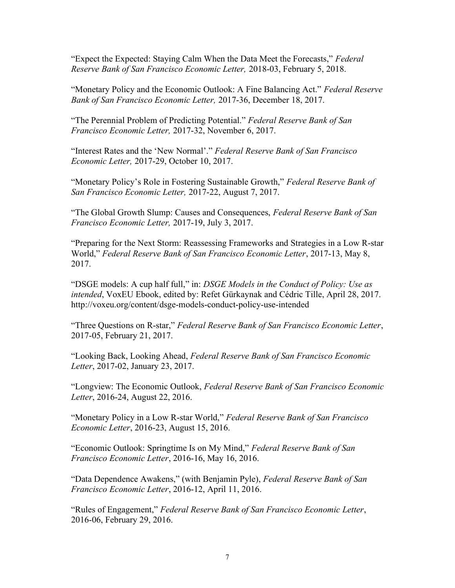"Expect the Expected: Staying Calm When the Data Meet the Forecasts," Federal Reserve Bank of San Francisco Economic Letter, 2018-03, February 5, 2018.

"Monetary Policy and the Economic Outlook: A Fine Balancing Act." Federal Reserve Bank of San Francisco Economic Letter, 2017-36, December 18, 2017.

"The Perennial Problem of Predicting Potential." Federal Reserve Bank of San Francisco Economic Letter, 2017-32, November 6, 2017.

"Interest Rates and the 'New Normal'." Federal Reserve Bank of San Francisco Economic Letter, 2017-29, October 10, 2017.

"Monetary Policy's Role in Fostering Sustainable Growth," Federal Reserve Bank of San Francisco Economic Letter, 2017-22, August 7, 2017.

"The Global Growth Slump: Causes and Consequences, Federal Reserve Bank of San Francisco Economic Letter, 2017-19, July 3, 2017.

"Preparing for the Next Storm: Reassessing Frameworks and Strategies in a Low R-star World," Federal Reserve Bank of San Francisco Economic Letter, 2017-13, May 8, 2017.

"DSGE models: A cup half full," in: DSGE Models in the Conduct of Policy: Use as intended, VoxEU Ebook, edited by: Refet Gürkaynak and Cédric Tille, April 28, 2017. http://voxeu.org/content/dsge-models-conduct-policy-use-intended

"Three Questions on R-star," Federal Reserve Bank of San Francisco Economic Letter, 2017-05, February 21, 2017.

"Looking Back, Looking Ahead, Federal Reserve Bank of San Francisco Economic Letter, 2017-02, January 23, 2017.

"Longview: The Economic Outlook, Federal Reserve Bank of San Francisco Economic Letter, 2016-24, August 22, 2016.

"Monetary Policy in a Low R-star World," Federal Reserve Bank of San Francisco Economic Letter, 2016-23, August 15, 2016.

"Economic Outlook: Springtime Is on My Mind," Federal Reserve Bank of San Francisco Economic Letter, 2016-16, May 16, 2016.

"Data Dependence Awakens," (with Benjamin Pyle), Federal Reserve Bank of San Francisco Economic Letter, 2016-12, April 11, 2016.

"Rules of Engagement," Federal Reserve Bank of San Francisco Economic Letter, 2016-06, February 29, 2016.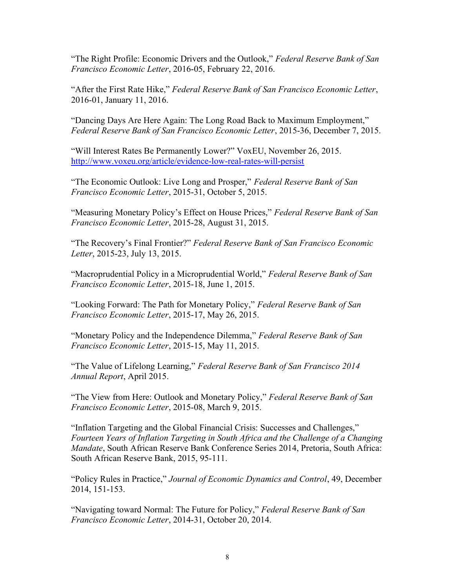"The Right Profile: Economic Drivers and the Outlook," Federal Reserve Bank of San Francisco Economic Letter, 2016-05, February 22, 2016.

"After the First Rate Hike," Federal Reserve Bank of San Francisco Economic Letter, 2016-01, January 11, 2016.

"Dancing Days Are Here Again: The Long Road Back to Maximum Employment," Federal Reserve Bank of San Francisco Economic Letter, 2015-36, December 7, 2015.

"Will Interest Rates Be Permanently Lower?" VoxEU, November 26, 2015. http://www.voxeu.org/article/evidence-low-real-rates-will-persist

"The Economic Outlook: Live Long and Prosper," Federal Reserve Bank of San Francisco Economic Letter, 2015-31, October 5, 2015.

"Measuring Monetary Policy's Effect on House Prices," Federal Reserve Bank of San Francisco Economic Letter, 2015-28, August 31, 2015.

"The Recovery's Final Frontier?" Federal Reserve Bank of San Francisco Economic Letter, 2015-23, July 13, 2015.

"Macroprudential Policy in a Microprudential World," Federal Reserve Bank of San Francisco Economic Letter, 2015-18, June 1, 2015.

"Looking Forward: The Path for Monetary Policy," Federal Reserve Bank of San Francisco Economic Letter, 2015-17, May 26, 2015.

"Monetary Policy and the Independence Dilemma," Federal Reserve Bank of San Francisco Economic Letter, 2015-15, May 11, 2015.

"The Value of Lifelong Learning," Federal Reserve Bank of San Francisco 2014 Annual Report, April 2015.

"The View from Here: Outlook and Monetary Policy," Federal Reserve Bank of San Francisco Economic Letter, 2015-08, March 9, 2015.

"Inflation Targeting and the Global Financial Crisis: Successes and Challenges," Fourteen Years of Inflation Targeting in South Africa and the Challenge of a Changing Mandate, South African Reserve Bank Conference Series 2014, Pretoria, South Africa: South African Reserve Bank, 2015, 95-111.

"Policy Rules in Practice," Journal of Economic Dynamics and Control, 49, December 2014, 151-153.

"Navigating toward Normal: The Future for Policy," Federal Reserve Bank of San Francisco Economic Letter, 2014-31, October 20, 2014.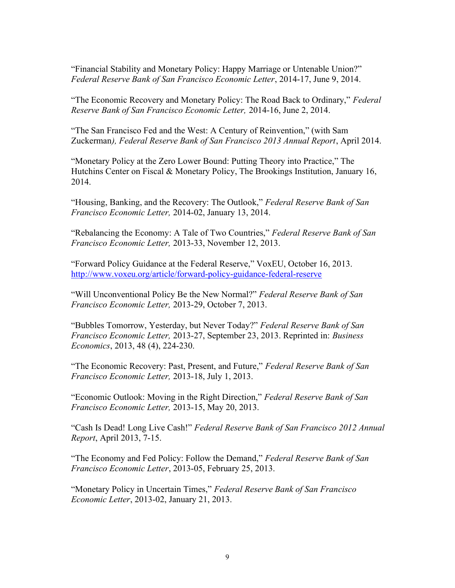"Financial Stability and Monetary Policy: Happy Marriage or Untenable Union?" Federal Reserve Bank of San Francisco Economic Letter, 2014-17, June 9, 2014.

"The Economic Recovery and Monetary Policy: The Road Back to Ordinary," Federal Reserve Bank of San Francisco Economic Letter, 2014-16, June 2, 2014.

"The San Francisco Fed and the West: A Century of Reinvention," (with Sam Zuckerman), Federal Reserve Bank of San Francisco 2013 Annual Report, April 2014.

"Monetary Policy at the Zero Lower Bound: Putting Theory into Practice," The Hutchins Center on Fiscal & Monetary Policy, The Brookings Institution, January 16, 2014.

"Housing, Banking, and the Recovery: The Outlook," Federal Reserve Bank of San Francisco Economic Letter, 2014-02, January 13, 2014.

"Rebalancing the Economy: A Tale of Two Countries," Federal Reserve Bank of San Francisco Economic Letter, 2013-33, November 12, 2013.

"Forward Policy Guidance at the Federal Reserve," VoxEU, October 16, 2013. http://www.voxeu.org/article/forward-policy-guidance-federal-reserve

"Will Unconventional Policy Be the New Normal?" Federal Reserve Bank of San Francisco Economic Letter, 2013-29, October 7, 2013.

"Bubbles Tomorrow, Yesterday, but Never Today?" Federal Reserve Bank of San Francisco Economic Letter, 2013-27, September 23, 2013. Reprinted in: Business Economics, 2013, 48 (4), 224-230.

"The Economic Recovery: Past, Present, and Future," Federal Reserve Bank of San Francisco Economic Letter, 2013-18, July 1, 2013.

"Economic Outlook: Moving in the Right Direction," Federal Reserve Bank of San Francisco Economic Letter, 2013-15, May 20, 2013.

"Cash Is Dead! Long Live Cash!" Federal Reserve Bank of San Francisco 2012 Annual Report, April 2013, 7-15.

"The Economy and Fed Policy: Follow the Demand," Federal Reserve Bank of San Francisco Economic Letter, 2013-05, February 25, 2013.

"Monetary Policy in Uncertain Times," Federal Reserve Bank of San Francisco Economic Letter, 2013-02, January 21, 2013.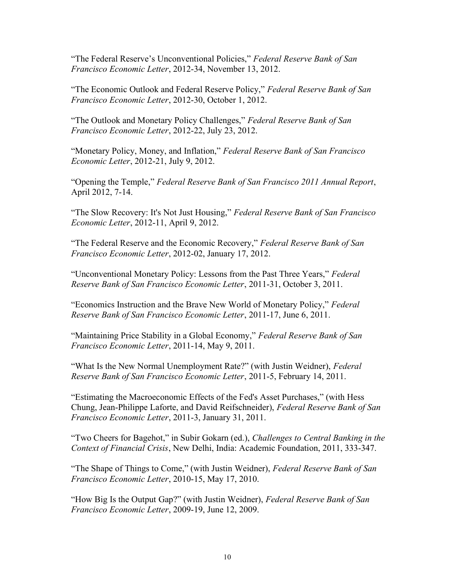"The Federal Reserve's Unconventional Policies," Federal Reserve Bank of San Francisco Economic Letter, 2012-34, November 13, 2012.

"The Economic Outlook and Federal Reserve Policy," Federal Reserve Bank of San Francisco Economic Letter, 2012-30, October 1, 2012.

"The Outlook and Monetary Policy Challenges," Federal Reserve Bank of San Francisco Economic Letter, 2012-22, July 23, 2012.

"Monetary Policy, Money, and Inflation," Federal Reserve Bank of San Francisco Economic Letter, 2012-21, July 9, 2012.

"Opening the Temple," Federal Reserve Bank of San Francisco 2011 Annual Report, April 2012, 7-14.

"The Slow Recovery: It's Not Just Housing," Federal Reserve Bank of San Francisco Economic Letter, 2012-11, April 9, 2012.

"The Federal Reserve and the Economic Recovery," Federal Reserve Bank of San Francisco Economic Letter, 2012-02, January 17, 2012.

"Unconventional Monetary Policy: Lessons from the Past Three Years," Federal Reserve Bank of San Francisco Economic Letter, 2011-31, October 3, 2011.

"Economics Instruction and the Brave New World of Monetary Policy," Federal Reserve Bank of San Francisco Economic Letter, 2011-17, June 6, 2011.

"Maintaining Price Stability in a Global Economy," Federal Reserve Bank of San Francisco Economic Letter, 2011-14, May 9, 2011.

"What Is the New Normal Unemployment Rate?" (with Justin Weidner), *Federal* Reserve Bank of San Francisco Economic Letter, 2011-5, February 14, 2011.

"Estimating the Macroeconomic Effects of the Fed's Asset Purchases," (with Hess Chung, Jean-Philippe Laforte, and David Reifschneider), Federal Reserve Bank of San Francisco Economic Letter, 2011-3, January 31, 2011.

"Two Cheers for Bagehot," in Subir Gokarn (ed.), Challenges to Central Banking in the Context of Financial Crisis, New Delhi, India: Academic Foundation, 2011, 333-347.

"The Shape of Things to Come," (with Justin Weidner), Federal Reserve Bank of San Francisco Economic Letter, 2010-15, May 17, 2010.

"How Big Is the Output Gap?" (with Justin Weidner), Federal Reserve Bank of San Francisco Economic Letter, 2009-19, June 12, 2009.